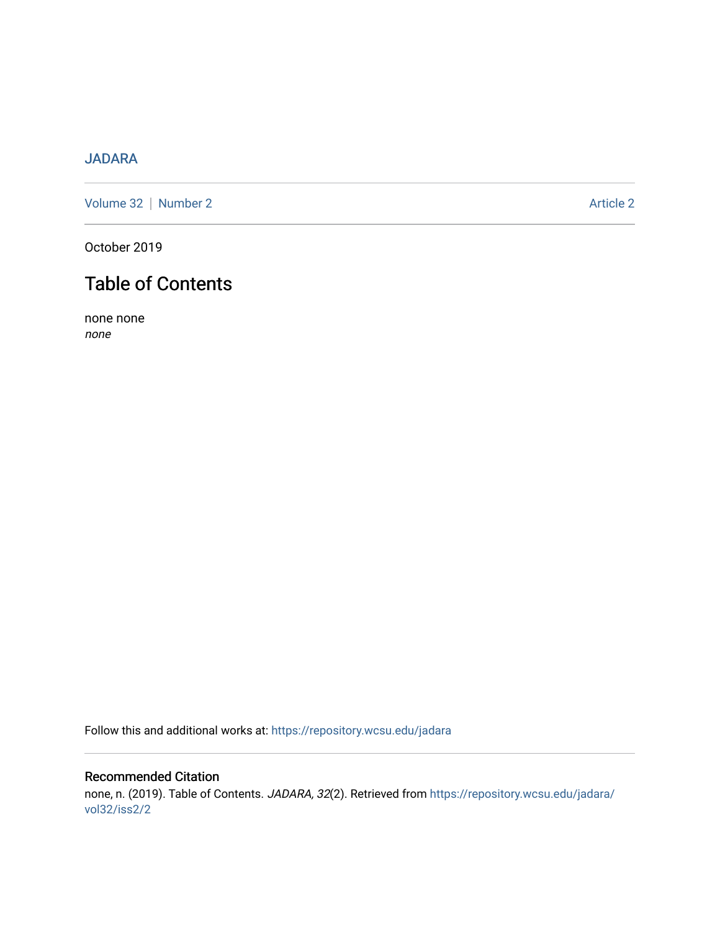## [JADARA](https://repository.wcsu.edu/jadara)

[Volume 32](https://repository.wcsu.edu/jadara/vol32) | [Number 2](https://repository.wcsu.edu/jadara/vol32/iss2) Article 2

October 2019

# Table of Contents

none none none

Follow this and additional works at: [https://repository.wcsu.edu/jadara](https://repository.wcsu.edu/jadara?utm_source=repository.wcsu.edu%2Fjadara%2Fvol32%2Fiss2%2F2&utm_medium=PDF&utm_campaign=PDFCoverPages)

## Recommended Citation none, n. (2019). Table of Contents. JADARA, 32(2). Retrieved from [https://repository.wcsu.edu/jadara/](https://repository.wcsu.edu/jadara/vol32/iss2/2?utm_source=repository.wcsu.edu%2Fjadara%2Fvol32%2Fiss2%2F2&utm_medium=PDF&utm_campaign=PDFCoverPages) [vol32/iss2/2](https://repository.wcsu.edu/jadara/vol32/iss2/2?utm_source=repository.wcsu.edu%2Fjadara%2Fvol32%2Fiss2%2F2&utm_medium=PDF&utm_campaign=PDFCoverPages)